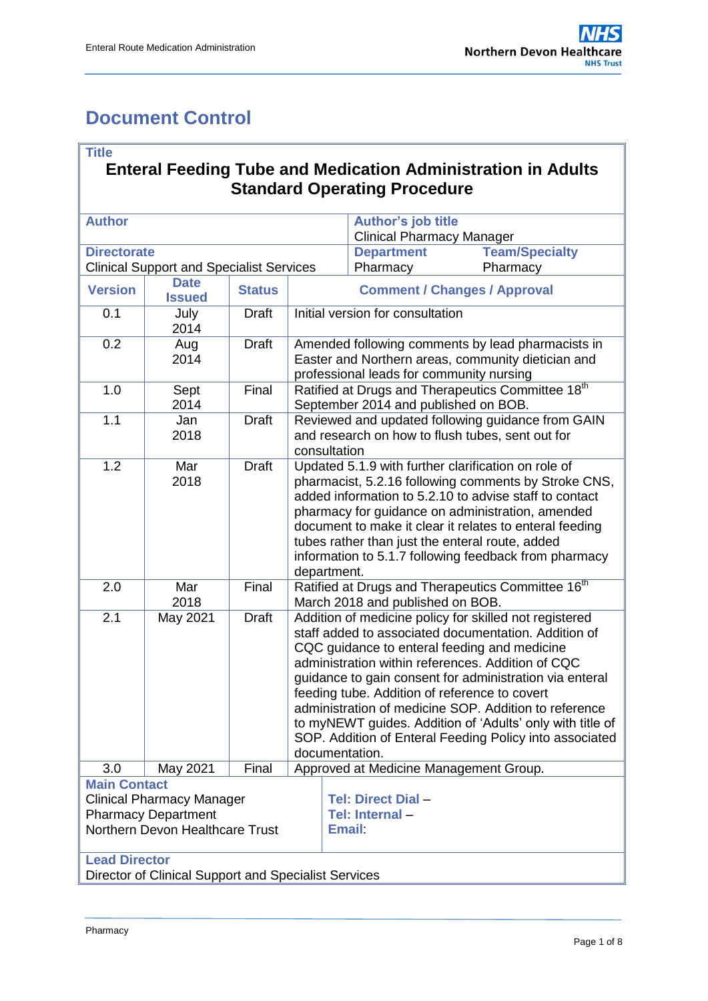# <span id="page-0-0"></span>**Document Control**

#### **Title**

### **Enteral Feeding Tube and Medication Administration in Adults Standard Operating Procedure**

| <b>Author</b>                                   |               |               |                                                                                                                                                                                                                                                                                                                                                                                                                                                                                                                                    | Author's job title<br><b>Clinical Pharmacy Manager</b> |                                                               |  |  |
|-------------------------------------------------|---------------|---------------|------------------------------------------------------------------------------------------------------------------------------------------------------------------------------------------------------------------------------------------------------------------------------------------------------------------------------------------------------------------------------------------------------------------------------------------------------------------------------------------------------------------------------------|--------------------------------------------------------|---------------------------------------------------------------|--|--|
| <b>Directorate</b>                              |               |               |                                                                                                                                                                                                                                                                                                                                                                                                                                                                                                                                    | <b>Department</b>                                      | <b>Team/Specialty</b>                                         |  |  |
| <b>Clinical Support and Specialist Services</b> |               |               |                                                                                                                                                                                                                                                                                                                                                                                                                                                                                                                                    | Pharmacy                                               | Pharmacy                                                      |  |  |
|                                                 | <b>Date</b>   |               |                                                                                                                                                                                                                                                                                                                                                                                                                                                                                                                                    |                                                        |                                                               |  |  |
| <b>Version</b>                                  | <b>Issued</b> | <b>Status</b> |                                                                                                                                                                                                                                                                                                                                                                                                                                                                                                                                    |                                                        | <b>Comment / Changes / Approval</b>                           |  |  |
| 0.1                                             | July<br>2014  | <b>Draft</b>  |                                                                                                                                                                                                                                                                                                                                                                                                                                                                                                                                    | Initial version for consultation                       |                                                               |  |  |
| 0.2                                             | Aug<br>2014   | <b>Draft</b>  | Amended following comments by lead pharmacists in<br>Easter and Northern areas, community dietician and<br>professional leads for community nursing                                                                                                                                                                                                                                                                                                                                                                                |                                                        |                                                               |  |  |
| 1.0                                             | Sept<br>2014  | Final         | Ratified at Drugs and Therapeutics Committee 18th<br>September 2014 and published on BOB.                                                                                                                                                                                                                                                                                                                                                                                                                                          |                                                        |                                                               |  |  |
| 1.1                                             | Jan<br>2018   | <b>Draft</b>  | Reviewed and updated following guidance from GAIN<br>and research on how to flush tubes, sent out for<br>consultation                                                                                                                                                                                                                                                                                                                                                                                                              |                                                        |                                                               |  |  |
| 1.2                                             | Mar<br>2018   | <b>Draft</b>  | Updated 5.1.9 with further clarification on role of<br>pharmacist, 5.2.16 following comments by Stroke CNS,<br>added information to 5.2.10 to advise staff to contact<br>pharmacy for guidance on administration, amended<br>document to make it clear it relates to enteral feeding<br>tubes rather than just the enteral route, added<br>information to 5.1.7 following feedback from pharmacy<br>department.                                                                                                                    |                                                        |                                                               |  |  |
| 2.0                                             | Mar<br>2018   | Final         |                                                                                                                                                                                                                                                                                                                                                                                                                                                                                                                                    | March 2018 and published on BOB.                       | Ratified at Drugs and Therapeutics Committee 16 <sup>th</sup> |  |  |
| 2.1                                             | May 2021      | <b>Draft</b>  | Addition of medicine policy for skilled not registered<br>staff added to associated documentation. Addition of<br>CQC guidance to enteral feeding and medicine<br>administration within references. Addition of CQC<br>guidance to gain consent for administration via enteral<br>feeding tube. Addition of reference to covert<br>administration of medicine SOP. Addition to reference<br>to myNEWT guides. Addition of 'Adults' only with title of<br>SOP. Addition of Enteral Feeding Policy into associated<br>documentation. |                                                        |                                                               |  |  |
| 3.0                                             | May 2021      | Final         |                                                                                                                                                                                                                                                                                                                                                                                                                                                                                                                                    | Approved at Medicine Management Group.                 |                                                               |  |  |
| <b>Main Contact</b>                             |               |               |                                                                                                                                                                                                                                                                                                                                                                                                                                                                                                                                    |                                                        |                                                               |  |  |
| <b>Clinical Pharmacy Manager</b>                |               |               |                                                                                                                                                                                                                                                                                                                                                                                                                                                                                                                                    | <b>Tel: Direct Dial -</b>                              |                                                               |  |  |
| <b>Pharmacy Department</b>                      |               |               |                                                                                                                                                                                                                                                                                                                                                                                                                                                                                                                                    | Tel: Internal-                                         |                                                               |  |  |
| Northern Devon Healthcare Trust                 |               |               |                                                                                                                                                                                                                                                                                                                                                                                                                                                                                                                                    | <b>Email:</b>                                          |                                                               |  |  |
| <b>Lead Director</b>                            |               |               |                                                                                                                                                                                                                                                                                                                                                                                                                                                                                                                                    |                                                        |                                                               |  |  |

Director of Clinical Support and Specialist Services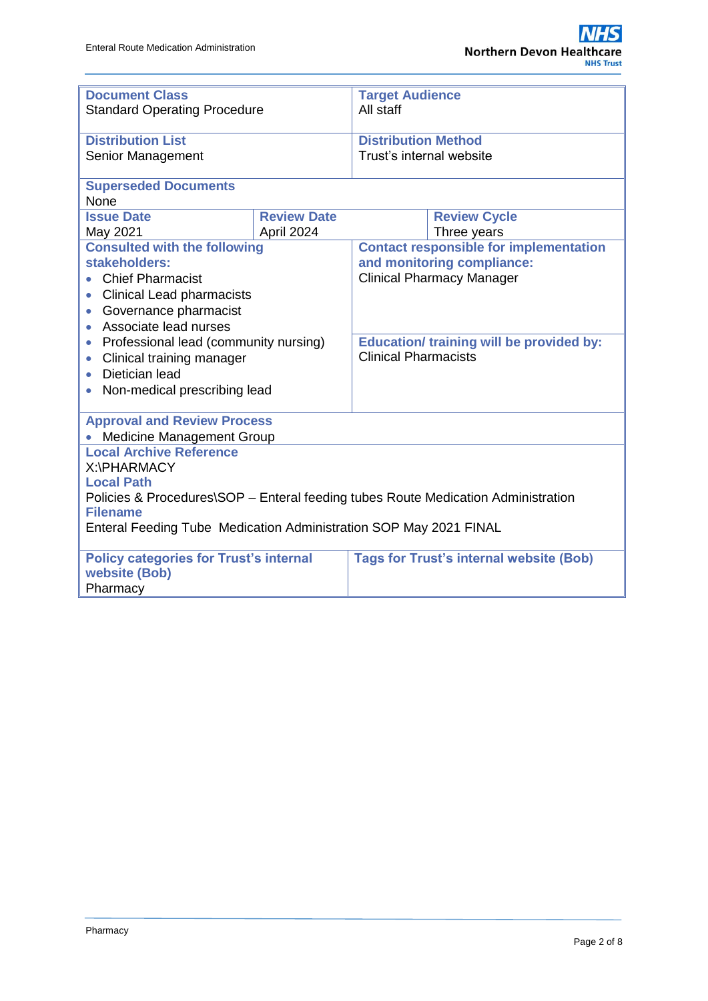| <b>Document Class</b><br><b>Standard Operating Procedure</b>                      |                    | <b>Target Audience</b><br>All staff             |                                                |  |  |  |  |  |
|-----------------------------------------------------------------------------------|--------------------|-------------------------------------------------|------------------------------------------------|--|--|--|--|--|
|                                                                                   |                    |                                                 |                                                |  |  |  |  |  |
| <b>Distribution List</b>                                                          |                    |                                                 | <b>Distribution Method</b>                     |  |  |  |  |  |
| Senior Management                                                                 |                    | Trust's internal website                        |                                                |  |  |  |  |  |
| <b>Superseded Documents</b><br>None                                               |                    |                                                 |                                                |  |  |  |  |  |
| <b>Issue Date</b>                                                                 | <b>Review Date</b> |                                                 | <b>Review Cycle</b>                            |  |  |  |  |  |
| May 2021                                                                          | April 2024         |                                                 | Three years                                    |  |  |  |  |  |
| <b>Consulted with the following</b>                                               |                    |                                                 | <b>Contact responsible for implementation</b>  |  |  |  |  |  |
| stakeholders:                                                                     |                    | and monitoring compliance:                      |                                                |  |  |  |  |  |
| <b>Chief Pharmacist</b>                                                           |                    | <b>Clinical Pharmacy Manager</b>                |                                                |  |  |  |  |  |
| <b>Clinical Lead pharmacists</b><br>$\bullet$                                     |                    |                                                 |                                                |  |  |  |  |  |
| Governance pharmacist<br>$\bullet$                                                |                    |                                                 |                                                |  |  |  |  |  |
| Associate lead nurses<br>$\bullet$                                                |                    |                                                 |                                                |  |  |  |  |  |
| Professional lead (community nursing)<br>$\bullet$                                |                    | <b>Education/ training will be provided by:</b> |                                                |  |  |  |  |  |
| Clinical training manager<br>$\bullet$                                            |                    | <b>Clinical Pharmacists</b>                     |                                                |  |  |  |  |  |
| Dietician lead<br>$\bullet$                                                       |                    |                                                 |                                                |  |  |  |  |  |
| Non-medical prescribing lead<br>$\bullet$                                         |                    |                                                 |                                                |  |  |  |  |  |
| <b>Approval and Review Process</b>                                                |                    |                                                 |                                                |  |  |  |  |  |
| <b>Medicine Management Group</b>                                                  |                    |                                                 |                                                |  |  |  |  |  |
| <b>Local Archive Reference</b>                                                    |                    |                                                 |                                                |  |  |  |  |  |
| X:\PHARMACY                                                                       |                    |                                                 |                                                |  |  |  |  |  |
| <b>Local Path</b>                                                                 |                    |                                                 |                                                |  |  |  |  |  |
| Policies & Procedures\SOP - Enteral feeding tubes Route Medication Administration |                    |                                                 |                                                |  |  |  |  |  |
| <b>Filename</b>                                                                   |                    |                                                 |                                                |  |  |  |  |  |
| Enteral Feeding Tube Medication Administration SOP May 2021 FINAL                 |                    |                                                 |                                                |  |  |  |  |  |
| <b>Policy categories for Trust's internal</b>                                     |                    |                                                 | <b>Tags for Trust's internal website (Bob)</b> |  |  |  |  |  |
| website (Bob)                                                                     |                    |                                                 |                                                |  |  |  |  |  |
| Pharmacy                                                                          |                    |                                                 |                                                |  |  |  |  |  |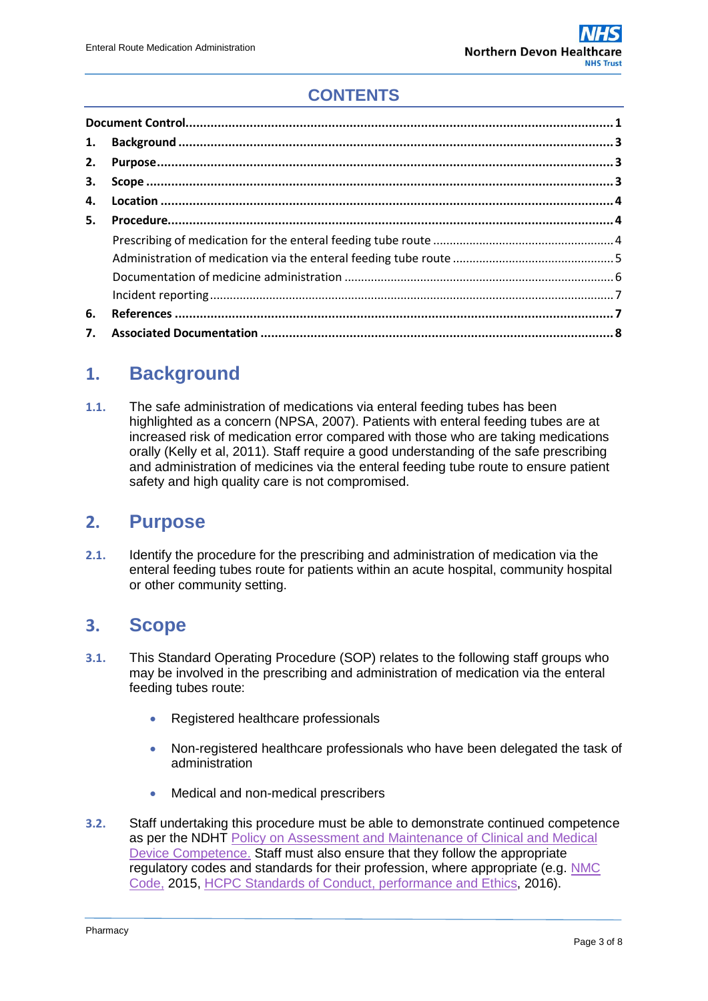# **CONTENTS**

| 1. |  |  |  |  |
|----|--|--|--|--|
| 2. |  |  |  |  |
| 3. |  |  |  |  |
| 4. |  |  |  |  |
| 5. |  |  |  |  |
|    |  |  |  |  |
|    |  |  |  |  |
|    |  |  |  |  |
|    |  |  |  |  |
| 6. |  |  |  |  |
| 7. |  |  |  |  |

# <span id="page-2-0"></span>**1. Background**

**1.1.** The safe administration of medications via enteral feeding tubes has been highlighted as a concern (NPSA, 2007). Patients with enteral feeding tubes are at increased risk of medication error compared with those who are taking medications orally (Kelly et al, 2011). Staff require a good understanding of the safe prescribing and administration of medicines via the enteral feeding tube route to ensure patient safety and high quality care is not compromised.

### <span id="page-2-1"></span>**2. Purpose**

**2.1.** Identify the procedure for the prescribing and administration of medication via the enteral feeding tubes route for patients within an acute hospital, community hospital or other community setting.

### <span id="page-2-2"></span>**3. Scope**

- **3.1.** This Standard Operating Procedure (SOP) relates to the following staff groups who may be involved in the prescribing and administration of medication via the enteral feeding tubes route:
	- Registered healthcare professionals
	- Non-registered healthcare professionals who have been delegated the task of administration
	- Medical and non-medical prescribers
- **3.2.** Staff undertaking this procedure must be able to demonstrate continued competence as per the NDHT [Policy on Assessment and Maintenance of Clinical and Medical](http://www.northdevonhealth.nhs.uk/2017/06/assessment-and-maintenance-of-clinical-competence-in-nurses-midwives-and-support-workers-policy/)  [Device Competence.](http://www.northdevonhealth.nhs.uk/2017/06/assessment-and-maintenance-of-clinical-competence-in-nurses-midwives-and-support-workers-policy/) Staff must also ensure that they follow the appropriate regulatory codes and standards for their profession, where appropriate (e.g. [NMC](https://www.nmc.org.uk/standards/code/)  [Code,](https://www.nmc.org.uk/standards/code/) 2015, [HCPC Standards of Conduct, performance and](https://www.hcpc-uk.org/aboutregistration/standards/standardsofconductperformanceandethics/) Ethics, 2016).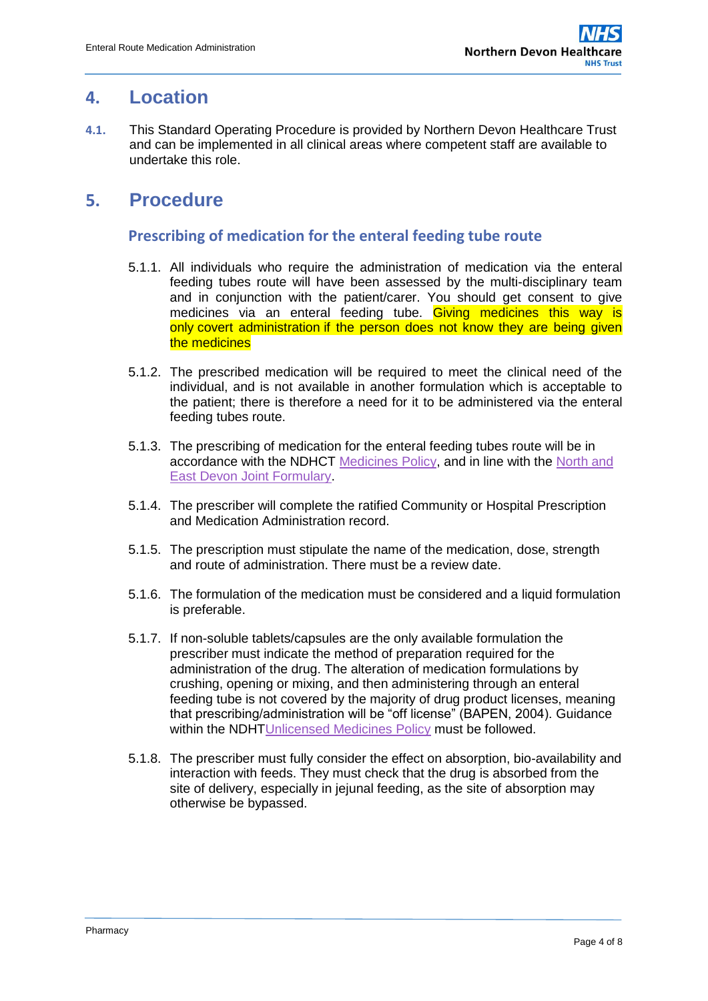### <span id="page-3-0"></span>**4. Location**

**4.1.** This Standard Operating Procedure is provided by Northern Devon Healthcare Trust and can be implemented in all clinical areas where competent staff are available to undertake this role.

### <span id="page-3-2"></span><span id="page-3-1"></span>**5. Procedure**

#### **Prescribing of medication for the enteral feeding tube route**

- 5.1.1. All individuals who require the administration of medication via the enteral feeding tubes route will have been assessed by the multi-disciplinary team and in conjunction with the patient/carer. You should get consent to give medicines via an enteral feeding tube. Giving medicines this way is only [covert administration](https://www.cqc.org.uk/guidance-providers/adult-social-care/covert-administration-medicines) if the person does not know they are being given the medicines
- 5.1.2. The prescribed medication will be required to meet the clinical need of the individual, and is not available in another formulation which is acceptable to the patient; there is therefore a need for it to be administered via the enteral feeding tubes route.
- 5.1.3. The prescribing of medication for the enteral feeding tubes route will be in accordance with the NDHCT [Medicines Policy,](http://www.northdevonhealth.nhs.uk/2012/04/medicines-policy/) and in line with the North and [East Devon Joint Formulary.](http://northeast.devonformularyguidance.nhs.uk/)
- 5.1.4. The prescriber will complete the ratified Community or Hospital Prescription and Medication Administration record.
- 5.1.5. The prescription must stipulate the name of the medication, dose, strength and route of administration. There must be a review date.
- 5.1.6. The formulation of the medication must be considered and a liquid formulation is preferable.
- 5.1.7. If non-soluble tablets/capsules are the only available formulation the prescriber must indicate the method of preparation required for the administration of the drug. The alteration of medication formulations by crushing, opening or mixing, and then administering through an enteral feeding tube is not covered by the majority of drug product licenses, meaning that prescribing/administration will be "off license" (BAPEN, 2004). Guidance within the NDH[TUnlicensed Medicines Policy](http://www.northdevonhealth.nhs.uk/wp-content/uploads/2018/02/Unlicensed-Medicines-Policy-v1.0.pdf) must be followed.
- 5.1.8. The prescriber must fully consider the effect on absorption, bio-availability and interaction with feeds. They must check that the drug is absorbed from the site of delivery, especially in jejunal feeding, as the site of absorption may otherwise be bypassed.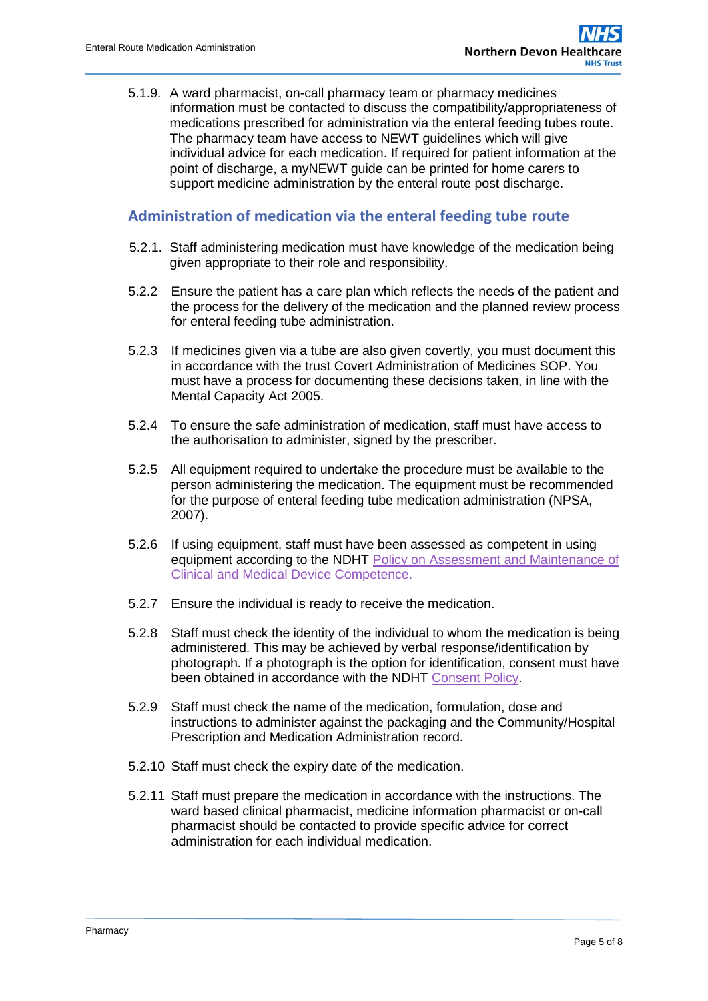5.1.9. A ward pharmacist, on-call pharmacy team or pharmacy medicines information must be contacted to discuss the compatibility/appropriateness of medications prescribed for administration via the enteral feeding tubes route. The pharmacy team have access to NEWT guidelines which will give individual advice for each medication. If required for patient information at the point of discharge, a myNEWT guide can be printed for home carers to support medicine administration by the enteral route post discharge.

#### <span id="page-4-0"></span>**Administration of medication via the enteral feeding tube route**

- 5.2.1. Staff administering medication must have knowledge of the medication being given appropriate to their role and responsibility.
- 5.2.2 Ensure the patient has a care plan which reflects the needs of the patient and the process for the delivery of the medication and the planned review process for enteral feeding tube administration.
- 5.2.3 If medicines given via a tube are also given covertly, you must document this in accordance with the trust Covert Administration of Medicines SOP. You must have a process for documenting these decisions taken, in line with the Mental Capacity Act 2005.
- 5.2.4 To ensure the safe administration of medication, staff must have access to the authorisation to administer, signed by the prescriber.
- 5.2.5 All equipment required to undertake the procedure must be available to the person administering the medication. The equipment must be recommended for the purpose of enteral feeding tube medication administration (NPSA, 2007).
- 5.2.6 If using equipment, staff must have been assessed as competent in using equipment according to the NDHT [Policy on Assessment and Maintenance of](http://www.northdevonhealth.nhs.uk/2017/06/assessment-and-maintenance-of-clinical-competence-in-nurses-midwives-and-support-workers-policy/)  [Clinical and Medical Device Competence.](http://www.northdevonhealth.nhs.uk/2017/06/assessment-and-maintenance-of-clinical-competence-in-nurses-midwives-and-support-workers-policy/)
- 5.2.7 Ensure the individual is ready to receive the medication.
- 5.2.8 Staff must check the identity of the individual to whom the medication is being administered. This may be achieved by verbal response/identification by photograph. If a photograph is the option for identification, consent must have been obtained in accordance with the NDHT [Consent Policy.](http://ndht.ndevon.swest.nhs.uk/consent-policy/)
- 5.2.9 Staff must check the name of the medication, formulation, dose and instructions to administer against the packaging and the Community/Hospital Prescription and Medication Administration record.
- 5.2.10 Staff must check the expiry date of the medication.
- 5.2.11 Staff must prepare the medication in accordance with the instructions. The ward based clinical pharmacist, medicine information pharmacist or on-call pharmacist should be contacted to provide specific advice for correct administration for each individual medication.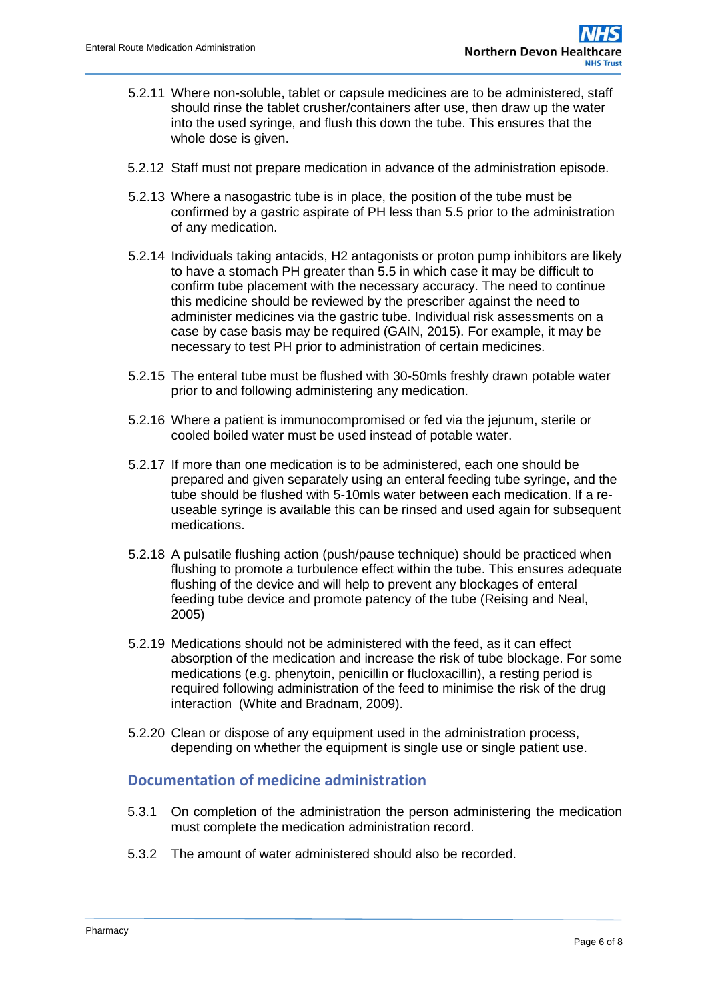- 5.2.11 Where non-soluble, tablet or capsule medicines are to be administered, staff should rinse the tablet crusher/containers after use, then draw up the water into the used syringe, and flush this down the tube. This ensures that the whole dose is given.
- 5.2.12 Staff must not prepare medication in advance of the administration episode.
- 5.2.13 Where a nasogastric tube is in place, the position of the tube must be confirmed by a gastric aspirate of PH less than 5.5 prior to the administration of any medication.
- 5.2.14 Individuals taking antacids, H2 antagonists or proton pump inhibitors are likely to have a stomach PH greater than 5.5 in which case it may be difficult to confirm tube placement with the necessary accuracy. The need to continue this medicine should be reviewed by the prescriber against the need to administer medicines via the gastric tube. Individual risk assessments on a case by case basis may be required (GAIN, 2015). For example, it may be necessary to test PH prior to administration of certain medicines.
- 5.2.15 The enteral tube must be flushed with 30-50mls freshly drawn potable water prior to and following administering any medication.
- 5.2.16 Where a patient is immunocompromised or fed via the jejunum, sterile or cooled boiled water must be used instead of potable water.
- 5.2.17 If more than one medication is to be administered, each one should be prepared and given separately using an enteral feeding tube syringe, and the tube should be flushed with 5-10mls water between each medication. If a reuseable syringe is available this can be rinsed and used again for subsequent medications.
- 5.2.18 A pulsatile flushing action (push/pause technique) should be practiced when flushing to promote a turbulence effect within the tube. This ensures adequate flushing of the device and will help to prevent any blockages of enteral feeding tube device and promote patency of the tube (Reising and Neal, 2005)
- 5.2.19 Medications should not be administered with the feed, as it can effect absorption of the medication and increase the risk of tube blockage. For some medications (e.g. phenytoin, penicillin or flucloxacillin), a resting period is required following administration of the feed to minimise the risk of the drug interaction (White and Bradnam, 2009).
- 5.2.20 Clean or dispose of any equipment used in the administration process, depending on whether the equipment is single use or single patient use.

#### <span id="page-5-0"></span>**Documentation of medicine administration**

- 5.3.1 On completion of the administration the person administering the medication must complete the medication administration record.
- 5.3.2 The amount of water administered should also be recorded.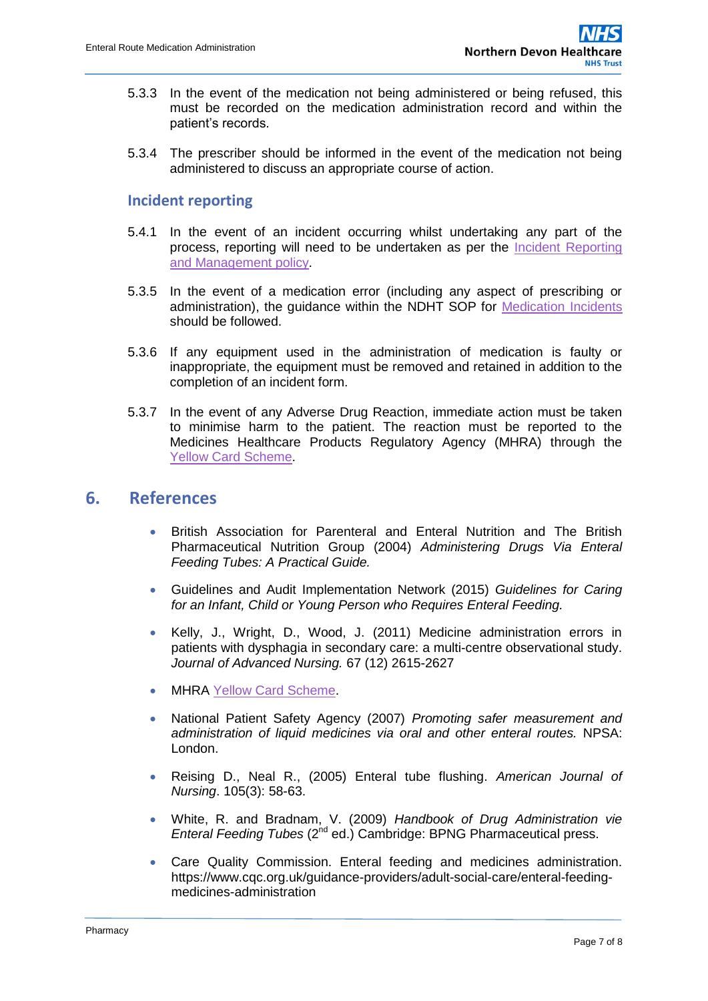- 5.3.3 In the event of the medication not being administered or being refused, this must be recorded on the medication administration record and within the patient's records.
- 5.3.4 The prescriber should be informed in the event of the medication not being administered to discuss an appropriate course of action.

#### <span id="page-6-0"></span>**Incident reporting**

- 5.4.1 In the event of an incident occurring whilst undertaking any part of the process, reporting will need to be undertaken as per the [Incident Reporting](http://ndht.ndevon.swest.nhs.uk/incident-reporting-and-management-policy/)  [and Management](http://ndht.ndevon.swest.nhs.uk/incident-reporting-and-management-policy/) policy.
- 5.3.5 In the event of a medication error (including any aspect of prescribing or administration), the guidance within the NDHT SOP for [Medication Incidents](http://ndht.ndevon.swest.nhs.uk/medication-errors-standard-operating-procedure-managing-and-supporting-staff-following-a-medication-error/) should be followed.
- 5.3.6 If any equipment used in the administration of medication is faulty or inappropriate, the equipment must be removed and retained in addition to the completion of an incident form.
- 5.3.7 In the event of any Adverse Drug Reaction, immediate action must be taken to minimise harm to the patient. The reaction must be reported to the Medicines Healthcare Products Regulatory Agency (MHRA) through the [Yellow Card Scheme.](https://yellowcard.mhra.gov.uk/)

### <span id="page-6-1"></span>**6. References**

- British Association for Parenteral and Enteral Nutrition and The British Pharmaceutical Nutrition Group (2004) *Administering Drugs Via Enteral Feeding Tubes: A Practical Guide.*
- Guidelines and Audit Implementation Network (2015) *Guidelines for Caring for an Infant, Child or Young Person who Requires Enteral Feeding.*
- Kelly, J., Wright, D., Wood, J. (2011) Medicine administration errors in patients with dysphagia in secondary care: a multi-centre observational study. *Journal of Advanced Nursing.* 67 (12) 2615-2627
- MHRA [Yellow Card Scheme.](https://yellowcard.mhra.gov.uk/)
- National Patient Safety Agency (2007) *Promoting safer measurement and administration of liquid medicines via oral and other enteral routes.* NPSA: London.
- Reising D., Neal R., (2005) Enteral tube flushing. *American Journal of Nursing*. 105(3): 58-63.
- White, R. and Bradnam, V. (2009) *Handbook of Drug Administration vie Enteral Feeding Tubes* (2nd ed.) Cambridge: BPNG Pharmaceutical press.
- Care Quality Commission. Enteral feeding and medicines administration. https://www.cqc.org.uk/guidance-providers/adult-social-care/enteral-feedingmedicines-administration